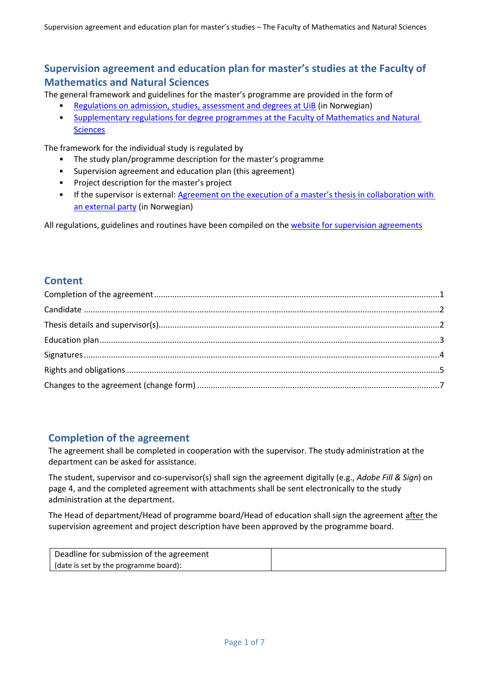# **Supervision agreement and education plan for master's studies at the Faculty of Mathematics and Natural Sciences**

The general framework and guidelines for the master's programme are provided in the form of

- [Regulations on admission, studies, assessment and degrees at UiB](https://lovdata.no/dokument/SF/forskrift/2012-02-16-872) (in Norwegian)
- Supplementary regulations for degree programmes [at the Faculty of Mathematics and Natural](https://www.uib.no/matnat/58067/utfyllende-regler-gradsstudier-ved-det-matematisk-naturvitenskapelige-fakultet)  **[Sciences](https://www.uib.no/matnat/58067/utfyllende-regler-gradsstudier-ved-det-matematisk-naturvitenskapelige-fakultet)**

The framework for the individual study is regulated by

- The study plan/programme description for the master's programme
- Supervision agreement and education plan (this agreement)
- Project description for the master's project
- If the supervisor is external: Agreement on the execution of a master's thesis in collaboration with [an external party](https://www.uib.no/sites/w3.uib.no/files/attachments/standardavtale_for_utforing_av_studentoppgave_med_ekstern_virksomhet_-_skjema.pdf) (in Norwegian)

All regulations, guidelines and routines have been compiled on the [website for supervision](https://www.uib.no/en/matnat/150491/supervision-agreement-masters-studies-faculty-mathematics-and-natural-sciences) agreements

# **Content**

# <span id="page-0-0"></span>**Completion of the agreement**

The agreement shall be completed in cooperation with the supervisor. The study administration at the department can be asked for assistance.

The student, supervisor and co-supervisor(s) shall sign the agreement digitally (e.g., *Adobe Fill & Sign*) on page 4, and the completed agreement with attachments shall be sent electronically to the study administration at the department.

The Head of department/Head of programme board/Head of education shall sign the agreement after the supervision agreement and project description have been approved by the programme board.

| Deadline for submission of the agreement |  |
|------------------------------------------|--|
| date is set by the programme board):     |  |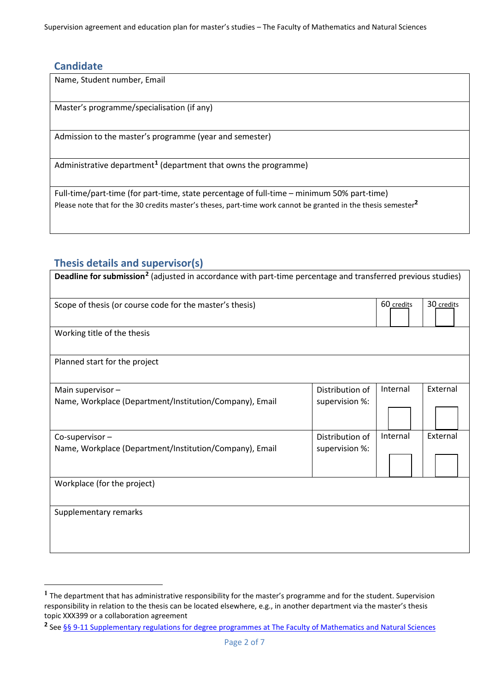Supervision agreement and education plan for master's studies – The Faculty of Mathematics and Natural Sciences

# <span id="page-1-0"></span>**Candidate**

Name, Student number, Email

Master's programme/specialisation (if any)

Admission to the master's programme (year and semester)

Administrative department**[1](#page-1-2)** (department that owns the programme)

Full-time/part-time (for part-time, state percentage of full-time – minimum 50% part-time) Please note that for the 30 credits master's theses, part-time work cannot be granted in the thesis semester**<sup>2</sup>**

# <span id="page-1-1"></span>**Thesis details and supervisor(s)**

| Deadline for submission <sup>2</sup> (adjusted in accordance with part-time percentage and transferred previous studies) |                 |            |            |
|--------------------------------------------------------------------------------------------------------------------------|-----------------|------------|------------|
| Scope of thesis (or course code for the master's thesis)                                                                 |                 | 60 credits | 30 credits |
| Working title of the thesis                                                                                              |                 |            |            |
| Planned start for the project                                                                                            |                 |            |            |
| Main supervisor-                                                                                                         | Distribution of | Internal   | External   |
| Name, Workplace (Department/Institution/Company), Email                                                                  | supervision %:  |            |            |
|                                                                                                                          |                 |            |            |
| Co-supervisor-                                                                                                           | Distribution of | Internal   | External   |
| Name, Workplace (Department/Institution/Company), Email                                                                  | supervision %:  |            |            |
|                                                                                                                          |                 |            |            |
| Workplace (for the project)                                                                                              |                 |            |            |
| Supplementary remarks                                                                                                    |                 |            |            |
|                                                                                                                          |                 |            |            |

<span id="page-1-2"></span>**<sup>1</sup>** The department that has administrative responsibility for the master's programme and for the student. Supervision responsibility in relation to the thesis can be located elsewhere, e.g., in another department via the master's thesis topic XXX399 or a collaboration agreement

<span id="page-1-3"></span>**<sup>2</sup>** See [§§ 9-11 Supplementary regulations for degree programmes at The Faculty of Mathematics and Natural Sciences](https://www.uib.no/matnat/58067/utfyllende-regler-gradsstudier-ved-det-matematisk-naturvitenskapelige-fakultet)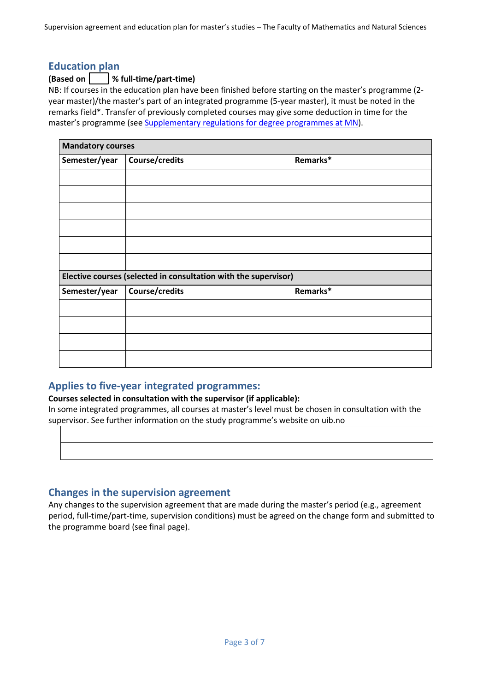Supervision agreement and education plan for master's studies – The Faculty of Mathematics and Natural Sciences

## <span id="page-2-0"></span>**Education plan**

### **(Based on % full-time/part-time)**

NB: If courses in the education plan have been finished before starting on the master's programme (2 year master)/the master's part of an integrated programme (5-year master), it must be noted in the remarks field\*. Transfer of previously completed courses may give some deduction in time for the master's programme (see [Supplementary regulations for degree programmes at](https://www.uib.no/matnat/58067/utfyllende-regler-gradsstudier-ved-det-matematisk-naturvitenskapelige-fakultet) MN).

| <b>Mandatory courses</b> |                                                                 |          |
|--------------------------|-----------------------------------------------------------------|----------|
| Semester/year            | Course/credits                                                  | Remarks* |
|                          |                                                                 |          |
|                          |                                                                 |          |
|                          |                                                                 |          |
|                          |                                                                 |          |
|                          |                                                                 |          |
|                          |                                                                 |          |
|                          | Elective courses (selected in consultation with the supervisor) |          |
| Semester/year            | Course/credits                                                  | Remarks* |
|                          |                                                                 |          |
|                          |                                                                 |          |
|                          |                                                                 |          |
|                          |                                                                 |          |

# **Applies to five-year integrated programmes:**

**Courses selected in consultation with the supervisor (if applicable):**

In some integrated programmes, all courses at master's level must be chosen in consultation with the supervisor. See further information on the study programme's website on uib.no

# **Changes in the supervision agreement**

Any changes to the supervision agreement that are made during the master's period (e.g., agreement period, full-time/part-time, supervision conditions) must be agreed on the change form and submitted to the programme board (see final page).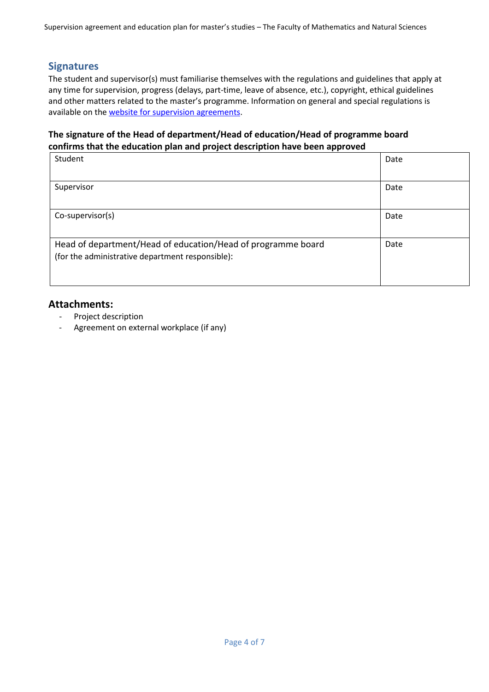Supervision agreement and education plan for master's studies – The Faculty of Mathematics and Natural Sciences

## <span id="page-3-0"></span>**Signatures**

The student and supervisor(s) must familiarise themselves with the regulations and guidelines that apply at any time for supervision, progress (delays, part-time, leave of absence, etc.), copyright, ethical guidelines and other matters related to the master's programme. Information on general and special regulations is available on th[e website for supervision agreements.](https://w3.uib.no/en/matnat/150491/supervision-agreement-masters-studies-faculty-mathematics-and-natural-sciences)

### **The signature of the Head of department/Head of education/Head of programme board confirms that the education plan and project description have been approved**

| Student                                                                                                          | Date |
|------------------------------------------------------------------------------------------------------------------|------|
| Supervisor                                                                                                       | Date |
| Co-supervisor(s)                                                                                                 | Date |
| Head of department/Head of education/Head of programme board<br>(for the administrative department responsible): | Date |

## **Attachments:**

- Project description
- Agreement on external workplace (if any)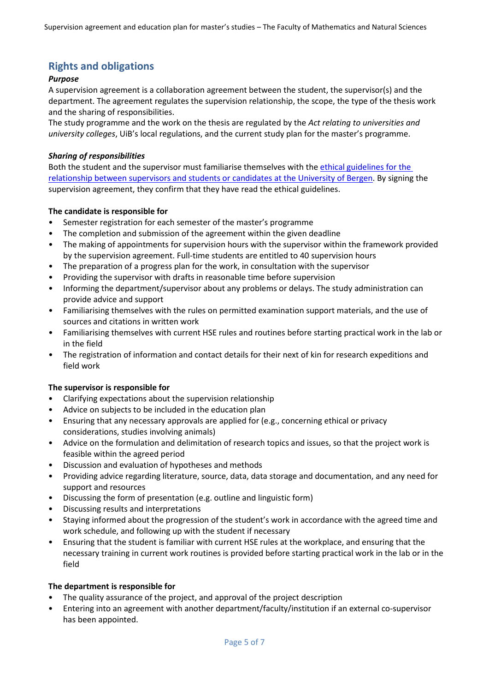# <span id="page-4-0"></span>**Rights and obligations**

### *Purpose*

A supervision agreement is a collaboration agreement between the student, the supervisor(s) and the department. The agreement regulates the supervision relationship, the scope, the type of the thesis work and the sharing of responsibilities.

The study programme and the work on the thesis are regulated by the *Act relating to universities and university colleges*, UiB's local regulations, and the current study plan for the master's programme.

### *Sharing of responsibilities*

Both the student and the supervisor must familiarise themselves with the [ethical guidelines for the](https://www.uib.no/en/student/112539/ethical-guidelines-relations-between-supervisors-and-students-or-candidates)  relationship between supervisors [and students or candidates at the University of Bergen.](https://www.uib.no/en/student/112539/ethical-guidelines-relations-between-supervisors-and-students-or-candidates) By signing the supervision agreement, they confirm that they have read the ethical guidelines.

### **The candidate is responsible for**

- Semester registration for each semester of the master's programme
- The completion and submission of the agreement within the given deadline
- The making of appointments for supervision hours with the supervisor within the framework provided by the supervision agreement. Full-time students are entitled to 40 supervision hours
- The preparation of a progress plan for the work, in consultation with the supervisor
- Providing the supervisor with drafts in reasonable time before supervision
- Informing the department/supervisor about any problems or delays. The study administration can provide advice and support
- Familiarising themselves with the rules on permitted examination support materials, and the use of sources and citations in written work
- Familiarising themselves with current HSE rules and routines before starting practical work in the lab or in the field
- The registration of information and contact details for their next of kin for research expeditions and field work

#### **The supervisor is responsible for**

- Clarifying expectations about the supervision relationship
- Advice on subjects to be included in the education plan
- Ensuring that any necessary approvals are applied for (e.g., concerning ethical or privacy considerations, studies involving animals)
- Advice on the formulation and delimitation of research topics and issues, so that the project work is feasible within the agreed period
- Discussion and evaluation of hypotheses and methods
- Providing advice regarding literature, source, data, data storage and documentation, and any need for support and resources
- Discussing the form of presentation (e.g. outline and linguistic form)
- Discussing results and interpretations
- Staying informed about the progression of the student's work in accordance with the agreed time and work schedule, and following up with the student if necessary
- Ensuring that the student is familiar with current HSE rules at the workplace, and ensuring that the necessary training in current work routines is provided before starting practical work in the lab or in the field

#### **The department is responsible for**

- The quality assurance of the project, and approval of the project description
- Entering into an agreement with another department/faculty/institution if an external co-supervisor has been appointed.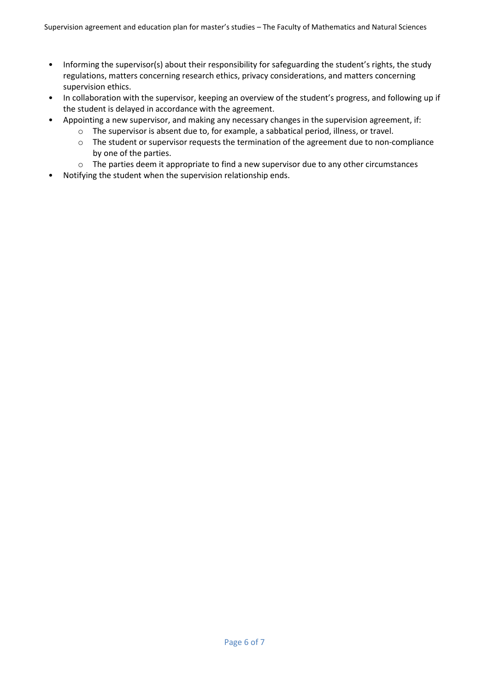- Informing the supervisor(s) about their responsibility for safeguarding the student's rights, the study regulations, matters concerning research ethics, privacy considerations, and matters concerning supervision ethics.
- In collaboration with the supervisor, keeping an overview of the student's progress, and following up if the student is delayed in accordance with the agreement.
- Appointing a new supervisor, and making any necessary changes in the supervision agreement, if:
	- o The supervisor is absent due to, for example, a sabbatical period, illness, or travel.
	- o The student or supervisor requests the termination of the agreement due to non-compliance by one of the parties.
	- o The parties deem it appropriate to find a new supervisor due to any other circumstances
- Notifying the student when the supervision relationship ends.